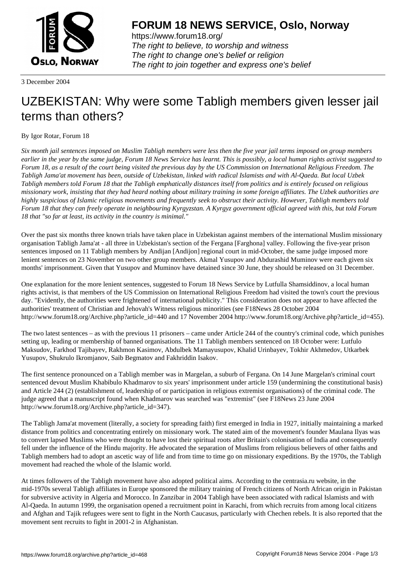

https://www.forum18.org/ The right to believe, to worship and witness The right to change one's belief or religion [The right to join together a](https://www.forum18.org/)nd express one's belief

3 December 2004

## [UZBEKISTAN:](https://www.forum18.org) Why were some Tabligh members given lesser jail terms than others?

## By Igor Rotar, Forum 18

*Six month jail sentences imposed on Muslim Tabligh members were less then the five year jail terms imposed on group members earlier in the year by the same judge, Forum 18 News Service has learnt. This is possibly, a local human rights activist suggested to Forum 18, as a result of the court being visited the previous day by the US Commission on International Religious Freedom. The Tabligh Jama'at movement has been, outside of Uzbekistan, linked with radical Islamists and with Al-Qaeda. But local Uzbek Tabligh members told Forum 18 that the Tabligh emphatically distances itself from politics and is entirely focused on religious missionary work, insisting that they had heard nothing about military training in some foreign affiliates. The Uzbek authorities are highly suspicious of Islamic religious movements and frequently seek to obstruct their activity. However, Tabligh members told Forum 18 that they can freely operate in neighbouring Kyrgyzstan. A Kyrgyz government official agreed with this, but told Forum 18 that "so far at least, its activity in the country is minimal."*

Over the past six months three known trials have taken place in Uzbekistan against members of the international Muslim missionary organisation Tabligh Jama'at - all three in Uzbekistan's section of the Fergana [Farghona] valley. Following the five-year prison sentences imposed on 11 Tabligh members by Andijan [Andijon] regional court in mid-October, the same judge imposed more lenient sentences on 23 November on two other group members. Akmal Yusupov and Abdurashid Muminov were each given six months' imprisonment. Given that Yusupov and Muminov have detained since 30 June, they should be released on 31 December.

One explanation for the more lenient sentences, suggested to Forum 18 News Service by Lutfulla Shamsiddinov, a local human rights activist, is that members of the US Commission on International Religious Freedom had visited the town's court the previous day. "Evidently, the authorities were frightened of international publicity." This consideration does not appear to have affected the authorities' treatment of Christian and Jehovah's Witness religious minorities (see F18News 28 October 2004 http://www.forum18.org/Archive.php?article\_id=440 and 17 November 2004 http://www.forum18.org/Archive.php?article\_id=455).

The two latest sentences – as with the previous 11 prisoners – came under Article 244 of the country's criminal code, which punishes setting up, leading or membership of banned organisations. The 11 Tabligh members sentenced on 18 October were: Lutfulo Maksudov, Farkhod Tajibayev, Rakhmon Kasimov, Abdulbek Mamayusupov, Khalid Urinbayev, Tokhir Akhmedov, Utkarbek Yusupov, Shukrulo Ikromjanov, Saib Begmatov and Fakhriddin Isakov.

The first sentence pronounced on a Tabligh member was in Margelan, a suburb of Fergana. On 14 June Margelan's criminal court sentenced devout Muslim Khabibulo Khadmarov to six years' imprisonment under article 159 (undermining the constitutional basis) and Article 244 (2) (establishment of, leadership of or participation in religious extremist organisations) of the criminal code. The judge agreed that a manuscript found when Khadmarov was searched was "extremist" (see F18News 23 June 2004 http://www.forum18.org/Archive.php?article\_id=347).

The Tabligh Jama'at movement (literally, a society for spreading faith) first emerged in India in 1927, initially maintaining a marked distance from politics and concentrating entirely on missionary work. The stated aim of the movement's founder Maulana Ilyas was to convert lapsed Muslims who were thought to have lost their spiritual roots after Britain's colonisation of India and consequently fell under the influence of the Hindu majority. He advocated the separation of Muslims from religious believers of other faiths and Tabligh members had to adopt an ascetic way of life and from time to time go on missionary expeditions. By the 1970s, the Tabligh movement had reached the whole of the Islamic world.

At times followers of the Tabligh movement have also adopted political aims. According to the centrasia.ru website, in the mid-1970s several Tabligh affiliates in Europe sponsored the military training of French citizens of North African origin in Pakistan for subversive activity in Algeria and Morocco. In Zanzibar in 2004 Tabligh have been associated with radical Islamists and with Al-Qaeda. In autumn 1999, the organisation opened a recruitment point in Karachi, from which recruits from among local citizens and Afghan and Tajik refugees were sent to fight in the North Caucasus, particularly with Chechen rebels. It is also reported that the movement sent recruits to fight in 2001-2 in Afghanistan.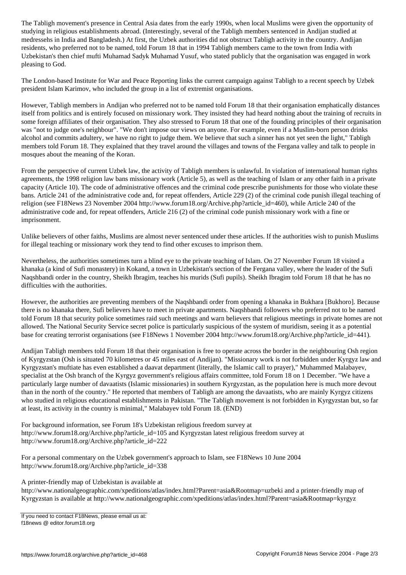studying in religious establishments abroad. (Interestingly, several of the Tabligh members sentenced in Andijan studied at medressehs in India and Bangladesh.) At first, the Uzbek authorities did not obstruct Tabligh activity in the country. Andijan residents, who preferred not to be named, told Forum 18 that in 1994 Tabligh members came to the town from India with Uzbekistan's then chief mufti Muhamad Sadyk Muhamad Yusuf, who stated publicly that the organisation was engaged in work pleasing to God.

The London-based Institute for War and Peace Reporting links the current campaign against Tabligh to a recent speech by Uzbek president Islam Karimov, who included the group in a list of extremist organisations.

However, Tabligh members in Andijan who preferred not to be named told Forum 18 that their organisation emphatically distances itself from politics and is entirely focused on missionary work. They insisted they had heard nothing about the training of recruits in some foreign affiliates of their organisation. They also stressed to Forum 18 that one of the founding principles of their organisation was "not to judge one's neighbour". "We don't impose our views on anyone. For example, even if a Muslim-born person drinks alcohol and commits adultery, we have no right to judge them. We believe that such a sinner has not yet seen the light," Tabligh members told Forum 18. They explained that they travel around the villages and towns of the Fergana valley and talk to people in mosques about the meaning of the Koran.

From the perspective of current Uzbek law, the activity of Tabligh members is unlawful. In violation of international human rights agreements, the 1998 religion law bans missionary work (Article 5), as well as the teaching of Islam or any other faith in a private capacity (Article 10). The code of administrative offences and the criminal code prescribe punishments for those who violate these bans. Article 241 of the administrative code and, for repeat offenders, Article 229 (2) of the criminal code punish illegal teaching of religion (see F18News 23 November 2004 http://www.forum18.org/Archive.php?article\_id=460), while Article 240 of the administrative code and, for repeat offenders, Article 216 (2) of the criminal code punish missionary work with a fine or imprisonment.

Unlike believers of other faiths, Muslims are almost never sentenced under these articles. If the authorities wish to punish Muslims for illegal teaching or missionary work they tend to find other excuses to imprison them.

Nevertheless, the authorities sometimes turn a blind eye to the private teaching of Islam. On 27 November Forum 18 visited a khanaka (a kind of Sufi monastery) in Kokand, a town in Uzbekistan's section of the Fergana valley, where the leader of the Sufi Naqshbandi order in the country, Sheikh Ibragim, teaches his murids (Sufi pupils). Sheikh Ibragim told Forum 18 that he has no difficulties with the authorities.

However, the authorities are preventing members of the Naqshbandi order from opening a khanaka in Bukhara [Bukhoro]. Because there is no khanaka there, Sufi believers have to meet in private apartments. Naqshbandi followers who preferred not to be named told Forum 18 that security police sometimes raid such meetings and warn believers that religious meetings in private homes are not allowed. The National Security Service secret police is particularly suspicious of the system of muridism, seeing it as a potential base for creating terrorist organisations (see F18News 1 November 2004 http://www.forum18.org/Archive.php?article\_id=441).

Andijan Tabligh members told Forum 18 that their organisation is free to operate across the border in the neighbouring Osh region of Kyrgyzstan (Osh is situated 70 kilometres or 45 miles east of Andijan). "Missionary work is not forbidden under Kyrgyz law and Kyrgyzstan's muftiate has even established a daavat department (literally, the Islamic call to prayer)," Muhammed Malabayev, specialist at the Osh branch of the Kyrgyz government's religious affairs committee, told Forum 18 on 1 December. "We have a particularly large number of davaatists (Islamic missionaries) in southern Kyrgyzstan, as the population here is much more devout than in the north of the country." He reported that members of Tabligh are among the davaatists, who are mainly Kyrgyz citizens who studied in religious educational establishments in Pakistan. "The Tabligh movement is not forbidden in Kyrgyzstan but, so far at least, its activity in the country is minimal," Malabayev told Forum 18. (END)

For background information, see Forum 18's Uzbekistan religious freedom survey at http://www.forum18.org/Archive.php?article\_id=105 and Kyrgyzstan latest religious freedom survey at http://www.forum18.org/Archive.php?article\_id=222

For a personal commentary on the Uzbek government's approach to Islam, see F18News 10 June 2004 http://www.forum18.org/Archive.php?article\_id=338

A printer-friendly map of Uzbekistan is available at

http://www.nationalgeographic.com/xpeditions/atlas/index.html?Parent=asia&Rootmap=uzbeki and a printer-friendly map of Kyrgyzstan is available at http://www.nationalgeographic.com/xpeditions/atlas/index.html?Parent=asia&Rootmap=kyrgyz

If you need to contact F18News, please email us at: f18news @ editor.forum18.org